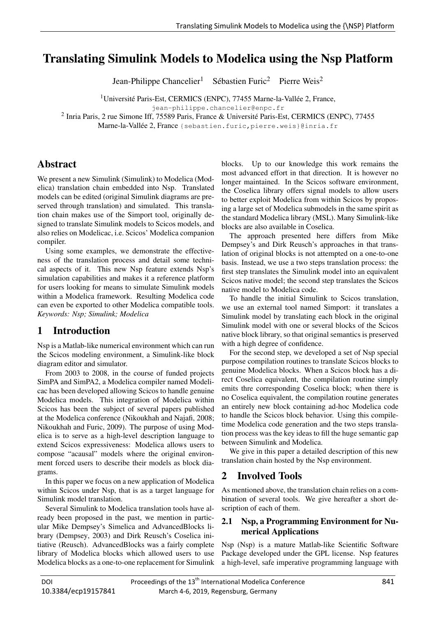## **Translating Simulink Models to Modelies using the N** Translating Simulink Models to Modelica using the Nsp Platform

Jean-Philippe Chancelier<sup>1</sup> Sébastien Furic<sup>2</sup> Pierre Weis<sup>2</sup>

<sup>1</sup>Université Paris-Est, CERMICS (ENPC), 77455 Marne-la-Vallée 2, France,

jean-philippe.chancelier@enpc.fr

<sup>2</sup> Inria Paris, 2 rue Simone Iff, 75589 Paris, France & Université Paris-Est, CERMICS (ENPC), 77455

Marne-la-Vallée 2, France (sebastien.furic, pierre.weis}@inria.fr

# Abstract

We present a new Simulink (Simulink) to Modelica (Modelica) translation chain embedded into Nsp. Translated models can be edited (original Simulink diagrams are preserved through translation) and simulated. This translation chain makes use of the Simport tool, originally designed to translate Simulink models to Scicos models, and also relies on Modelicac, i.e. Scicos' Modelica companion compiler.

Using some examples, we demonstrate the effectiveness of the translation process and detail some technical aspects of it. This new Nsp feature extends Nsp's simulation capabilities and makes it a reference platform for users looking for means to simulate Simulink models within a Modelica framework. Resulting Modelica code can even be exported to other Modelica compatible tools. *Keywords: Nsp; Simulink; Modelica*

## 1 Introduction

Nsp is a Matlab-like numerical environment which can run the Scicos modeling environment, a Simulink-like block diagram editor and simulator.

From 2003 to 2008, in the course of funded projects SimPA and SimPA2, a Modelica compiler named Modelicac has been developed allowing Scicos to handle genuine Modelica models. This integration of Modelica within Scicos has been the subject of several papers published at the Modelica conference (Nikoukhah and Najafi, 2008; Nikoukhah and Furic, 2009). The purpose of using Modelica is to serve as a high-level description language to extend Scicos expressiveness: Modelica allows users to compose "acausal" models where the original environment forced users to describe their models as block diagrams.

In this paper we focus on a new application of Modelica within Scicos under Nsp, that is as a target language for Simulink model translation.

Several Simulink to Modelica translation tools have already been proposed in the past, we mention in particular Mike Dempsey's Simelica and AdvancedBlocks library (Dempsey, 2003) and Dirk Reusch's Coselica initiative (Reusch). AdvancedBlocks was a fairly complete library of Modelica blocks which allowed users to use Modelica blocks as a one-to-one replacement for Simulink blocks. Up to our knowledge this work remains the most advanced effort in that direction. It is however no longer maintained. In the Scicos software environment, the Coselica library offers signal models to allow users to better exploit Modelica from within Scicos by proposing a large set of Modelica submodels in the same spirit as the standard Modelica library (MSL). Many Simulink-like blocks are also available in Coselica.

The approach presented here differs from Mike Dempsey's and Dirk Reusch's approaches in that translation of original blocks is not attempted on a one-to-one basis. Instead, we use a two steps translation process: the first step translates the Simulink model into an equivalent Scicos native model; the second step translates the Scicos native model to Modelica code.

To handle the initial Simulink to Scicos translation, we use an external tool named Simport: it translates a Simulink model by translating each block in the original Simulink model with one or several blocks of the Scicos native block library, so that original semantics is preserved with a high degree of confidence.

For the second step, we developed a set of Nsp special purpose compilation routines to translate Scicos blocks to genuine Modelica blocks. When a Scicos block has a direct Coselica equivalent, the compilation routine simply emits thre corresponding Coselica block; when there is no Coselica equivalent, the compilation routine generates an entirely new block containing ad-hoc Modelica code to handle the Scicos block behavior. Using this compiletime Modelica code generation and the two steps translation process was the key ideas to fill the huge semantic gap between Simulink and Modelica.

We give in this paper a detailed description of this new translation chain hosted by the Nsp environment.

## 2 Involved Tools

As mentioned above, the translation chain relies on a combination of several tools. We give hereafter a short description of each of them.

## 2.1 Nsp, a Programming Environment for Numerical Applications

Nsp (Nsp) is a mature Matlab-like Scientific Software Package developed under the GPL license. Nsp features a high-level, safe imperative programming language with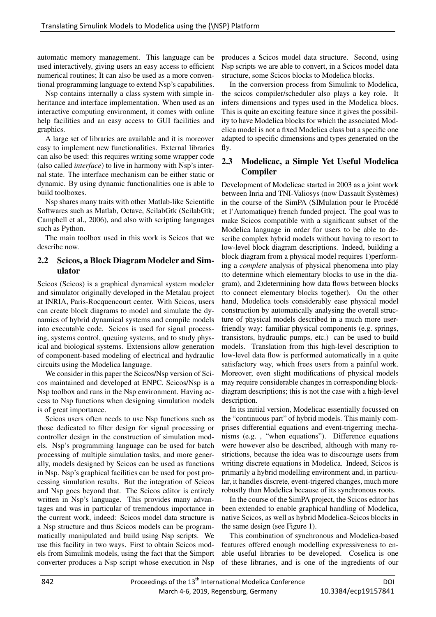automatic memory management. This language can be used interactively, giving users an easy access to efficient numerical routines; It can also be used as a more conventional programming language to extend Nsp's capabilities.

Nsp contains internally a class system with simple inheritance and interface implementation. When used as an interactive computing environment, it comes with online help facilities and an easy access to GUI facilities and graphics.

A large set of libraries are available and it is moreover easy to implement new functionalities. External libraries can also be used: this requires writing some wrapper code (also called *interface*) to live in harmony with Nsp's internal state. The interface mechanism can be either static or dynamic. By using dynamic functionalities one is able to build toolboxes.

Nsp shares many traits with other Matlab-like Scientific Softwares such as Matlab, Octave, ScilabGtk (ScilabGtk; Campbell et al., 2006), and also with scripting languages such as Python.

The main toolbox used in this work is Scicos that we describe now.

## 2.2 Scicos, a Block Diagram Modeler and Simulator

Scicos (Scicos) is a graphical dynamical system modeler and simulator originally developed in the Metalau project at INRIA, Paris-Rocquencourt center. With Scicos, users can create block diagrams to model and simulate the dynamics of hybrid dynamical systems and compile models into executable code. Scicos is used for signal processing, systems control, queuing systems, and to study physical and biological systems. Extensions allow generation of component-based modeling of electrical and hydraulic circuits using the Modelica language.

We consider in this paper the Scicos/Nsp version of Scicos maintained and developed at ENPC. Scicos/Nsp is a Nsp toolbox and runs in the Nsp environment. Having access to Nsp functions when designing simulation models is of great importance.

Scicos users often needs to use Nsp functions such as those dedicated to filter design for signal processing or controller design in the construction of simulation models. Nsp's programming language can be used for batch processing of multiple simulation tasks, and more generally, models designed by Scicos can be used as functions in Nsp. Nsp's graphical facilities can be used for post processing simulation results. But the integration of Scicos and Nsp goes beyond that. The Scicos editor is entirely written in Nsp's language. This provides many advantages and was in particular of tremendous importance in the current work, indeed: Scicos model data structure is a Nsp structure and thus Scicos models can be programmatically manipulated and build using Nsp scripts. We use this facility in two ways. First to obtain Scicos models from Simulink models, using the fact that the Simport converter produces a Nsp script whose execution in Nsp

produces a Scicos model data structure. Second, using Nsp scripts we are able to convert, in a Scicos model data structure, some Scicos blocks to Modelica blocks.

In the conversion process from Simulink to Modelica, the scicos compiler/scheduler also plays a key role. It infers dimensions and types used in the Modelica blocs. This is quite an exciting feature since it gives the possibility to have Modelica blocks for which the associated Modelica model is not a fixed Modelica class but a specific one adapted to specific dimensions and types generated on the fly.

## 2.3 Modelicac, a Simple Yet Useful Modelica Compiler

Development of Modelicac started in 2003 as a joint work between Inria and TNI-Valiosys (now Dassault Systèmes) in the course of the SimPA (SIMulation pour le Procédé et l'Automatique) french funded project. The goal was to make Scicos compatible with a significant subset of the Modelica language in order for users to be able to describe complex hybrid models without having to resort to low-level block diagram descriptions. Indeed, building a block diagram from a physical model requires 1)performing a *complete* analysis of physical phenomena into play (to determine which elementary blocks to use in the diagram), and 2)determining how data flows between blocks (to connect elementary blocks together). On the other hand, Modelica tools considerably ease physical model construction by automatically analysing the overall structure of physical models described in a much more userfriendly way: familiar physical components (e.g. springs, transistors, hydraulic pumps, etc.) can be used to build models. Translation from this high-level description to low-level data flow is performed automatically in a quite satisfactory way, which frees users from a painful work. Moreover, even slight modifications of physical models may require considerable changes in corresponding blockdiagram descriptions; this is not the case with a high-level description.

In its initial version, Modelicac essentially focussed on the "continuous part" of hybrid models. This mainly comprises differential equations and event-trigerring mechanisms (e.g. , "when equations"). Difference equations were however also be described, although with many restrictions, because the idea was to discourage users from writing discrete equations in Modelica. Indeed, Scicos is primarily a hybrid modelling environment and, in particular, it handles discrete, event-trigered changes, much more robustly than Modelica because of its synchronous roots.

In the course of the SimPA project, the Scicos editor has been extended to enable graphical handling of Modelica, native Scicos, as well as hybrid Modelica-Scicos blocks in the same design (see Figure 1).

This combination of synchronous and Modelica-based features offered enough modelling expressiveness to enable useful libraries to be developed. Coselica is one of these libraries, and is one of the ingredients of our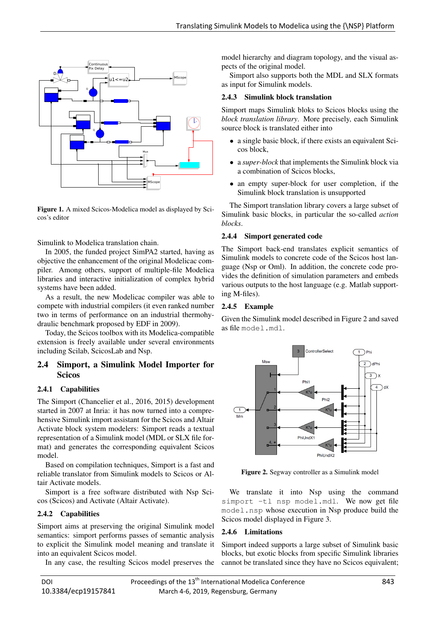

Figure 1. A mixed Scicos-Modelica model as displayed by Scicos's editor

Simulink to Modelica translation chain.

In 2005, the funded project SimPA2 started, having as objective the enhancement of the original Modelicac compiler. Among others, support of multiple-file Modelica libraries and interactive initialization of complex hybrid systems have been added.

As a result, the new Modelicac compiler was able to compete with industrial compilers (it even ranked number two in terms of performance on an industrial thermohydraulic benchmark proposed by EDF in 2009).

Today, the Scicos toolbox with its Modelica-compatible extension is freely available under several environments including Scilab, ScicosLab and Nsp.

### 2.4 Simport, a Simulink Model Importer for **Scicos**

### 2.4.1 Capabilities

The Simport (Chancelier et al., 2016, 2015) development started in 2007 at Inria: it has now turned into a comprehensive Simulink import assistant for the Scicos and Altair Activate block system modelers: Simport reads a textual representation of a Simulink model (MDL or SLX file format) and generates the corresponding equivalent Scicos model.

Based on compilation techniques, Simport is a fast and reliable translator from Simulink models to Scicos or Altair Activate models.

Simport is a free software distributed with Nsp Scicos (Scicos) and Activate (Altair Activate).

### 2.4.2 Capabilities

Simport aims at preserving the original Simulink model semantics: simport performs passes of semantic analysis to explicit the Simulink model meaning and translate it into an equivalent Scicos model.

In any case, the resulting Scicos model preserves the

model hierarchy and diagram topology, and the visual aspects of the original model.

Simport also supports both the MDL and SLX formats as input for Simulink models.

#### 2.4.3 Simulink block translation

Simport maps Simulink bloks to Scicos blocks using the *block translation library*. More precisely, each Simulink source block is translated either into

- a single basic block, if there exists an equivalent Scicos block,
- a *super-block* that implements the Simulink block via a combination of Scicos blocks,
- an empty super-block for user completion, if the Simulink block translation is unsupported

The Simport translation library covers a large subset of Simulink basic blocks, in particular the so-called *action blocks*.

#### 2.4.4 Simport generated code

The Simport back-end translates explicit semantics of Simulink models to concrete code of the Scicos host language (Nsp or Oml). In addition, the concrete code provides the definition of simulation parameters and embeds various outputs to the host language (e.g. Matlab supporting M-files).

### 2.4.5 Example

Given the Simulink model described in Figure 2 and saved as file model.mdl.



Figure 2. Segway controller as a Simulink model

We translate it into Nsp using the command simport -tl nsp model.mdl. We now get file model.nsp whose execution in Nsp produce build the Scicos model displayed in Figure 3.

### 2.4.6 Limitations

Simport indeed supports a large subset of Simulink basic blocks, but exotic blocks from specific Simulink libraries cannot be translated since they have no Scicos equivalent;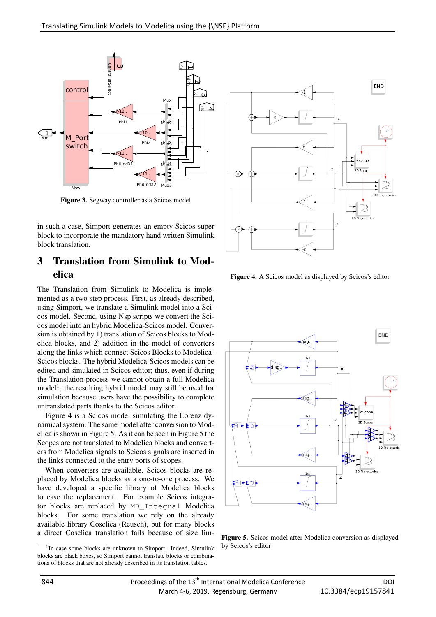

Figure 3. Segway controller as a Scicos model

in such a case, Simport generates an empty Scicos super block to incorporate the mandatory hand written Simulink block translation.

## 3 Translation from Simulink to Modelica

The Translation from Simulink to Modelica is implemented as a two step process. First, as already described, using Simport, we translate a Simulink model into a Scicos model. Second, using Nsp scripts we convert the Scicos model into an hybrid Modelica-Scicos model. Conversion is obtained by 1) translation of Scicos blocks to Modelica blocks, and 2) addition in the model of converters along the links which connect Scicos Blocks to Modelica-Scicos blocks. The hybrid Modelica-Scicos models can be edited and simulated in Scicos editor; thus, even if during the Translation process we cannot obtain a full Modelica model<sup>1</sup>, the resulting hybrid model may still be used for simulation because users have the possibility to complete untranslated parts thanks to the Scicos editor.

Figure 4 is a Scicos model simulating the Lorenz dynamical system. The same model after conversion to Modelica is shown in Figure 5. As it can be seen in Figure 5 the Scopes are not translated to Modelica blocks and converters from Modelica signals to Scicos signals are inserted in the links connected to the entry ports of scopes.

When converters are available, Scicos blocks are replaced by Modelica blocks as a one-to-one process. We have developed a specific library of Modelica blocks to ease the replacement. For example Scicos integrator blocks are replaced by MB\_Integral Modelica blocks. For some translation we rely on the already available library Coselica (Reusch), but for many blocks a direct Coselica translation fails because of size lim-



Figure 4. A Scicos model as displayed by Scicos's editor



Figure 5. Scicos model after Modelica conversion as displayed by Scicos's editor

<sup>&</sup>lt;sup>1</sup>In case some blocks are unknown to Simport. Indeed, Simulink blocks are black boxes, so Simport cannot translate blocks or combinations of blocks that are not already described in its translation tables.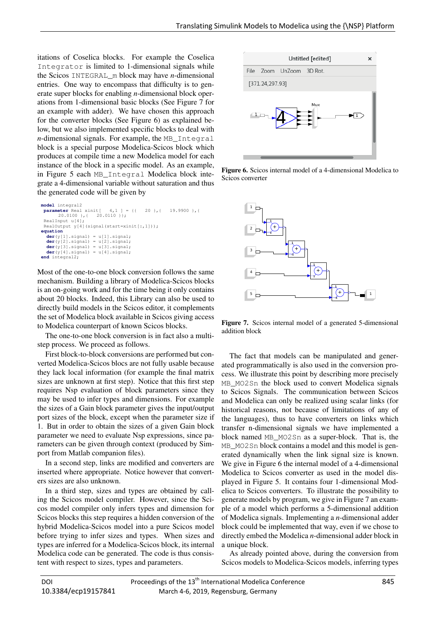itations of Coselica blocks. For example the Coselica Integrator is limited to 1-dimensional signals while the Scicos INTEGRAL\_m block may have *n*-dimensional entries. One way to encompass that difficulty is to generate super blocks for enabling *n*-dimensional block operations from 1-dimensional basic blocks (See Figure 7 for an example with adder). We have chosen this approach for the converter blocks (See Figure 6) as explained below, but we also implemented specific blocks to deal with *n*-dimensional signals. For example, the MB\_Integral block is a special purpose Modelica-Scicos block which produces at compile time a new Modelica model for each instance of the block in a specific model. As an example, in Figure 5 each MB\_Integral Modelica block integrate a 4-dimensional variable without saturation and thus the generated code will be given by

```
model integral2
 parameter Real xinit[ 4,1 ] = {{ 20 },{ 19.9900 },{ 20.0100 },{ 20.0110 }};
 RealInput u[4];
 RealOutput y[4](signal(start=xinit[:,1]));
equation
   der(y[1].signal) = u[1].signal;
der(y[2].signal) = u[2].signal;
   der(y[3].signal) = u[3].signal;
der(y[4].signal) = u[4].signal;
end integral2;
```
Most of the one-to-one block conversion follows the same mechanism. Building a library of Modelica-Scicos blocks is an on-going work and for the time being it only contains about 20 blocks. Indeed, this Library can also be used to directly build models in the Scicos editor, it complements the set of Modelica block available in Scicos giving access to Modelica counterpart of known Scicos blocks.

The one-to-one block conversion is in fact also a multistep process. We proceed as follows.

First block-to-block conversions are performed but converted Modelica-Scicos blocs are not fully usable because they lack local information (for example the final matrix sizes are unknown at first step). Notice that this first step requires Nsp evaluation of block parameters since they may be used to infer types and dimensions. For example the sizes of a Gain block parameter gives the input/output port sizes of the block, except when the parameter size if 1. But in order to obtain the sizes of a given Gain block parameter we need to evaluate Nsp expressions, since parameters can be given through context (produced by Simport from Matlab companion files).

In a second step, links are modified and converters are inserted where appropriate. Notice however that converters sizes are also unknown.

In a third step, sizes and types are obtained by calling the Scicos model compiler. However, since the Scicos model compiler only infers types and dimension for Scicos blocks this step requires a hidden conversion of the hybrid Modelica-Scicos model into a pure Scicos model before trying to infer sizes and types. When sizes and types are inferred for a Modelica-Scicos block, its internal Modelica code can be generated. The code is thus consistent with respect to sizes, types and parameters.



Figure 6. Scicos internal model of a 4-dimensional Modelica to Scicos converter



Figure 7. Scicos internal model of a generated 5-dimensional addition block

The fact that models can be manipulated and generated programmatically is also used in the conversion process. We illustrate this point by describing more precisely MB MO2Sn the block used to convert Modelica signals to Scicos Signals. The communication between Scicos and Modelica can only be realized using scalar links (for historical reasons, not because of limitations of any of the languages), thus to have converters on links which transfer n-dimensional signals we have implemented a block named MB\_MO2Sn as a super-block. That is, the MB MO2Sn block contains a model and this model is generated dynamically when the link signal size is known. We give in Figure 6 the internal model of a 4-dimensional Modelica to Scicos converter as used in the model displayed in Figure 5. It contains four 1-dimensional Modelica to Scicos converters. To illustrate the possibility to generate models by program, we give in Figure 7 an example of a model which performs a 5-dimensional addition of Modelica signals. Implementing a *n*-dimensional adder block could be implemented that way, even if we chose to directly embed the Modelica *n*-dimensional adder block in a unique block.

As already pointed above, during the conversion from Scicos models to Modelica-Scicos models, inferring types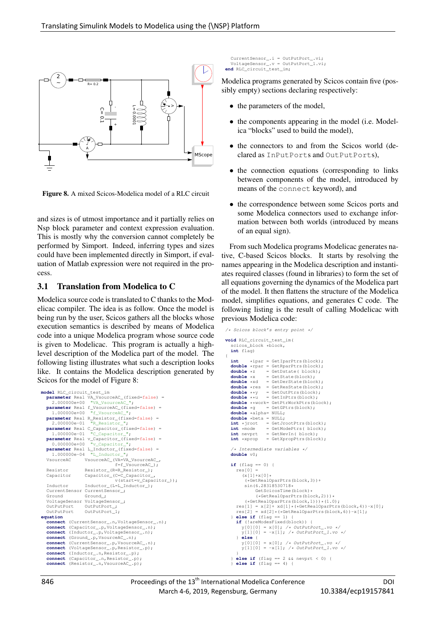

Figure 8. A mixed Scicos-Modelica model of a RLC circuit

and sizes is of utmost importance and it partially relies on Nsp block parameter and context expression evaluation. This is mostly why the conversion cannot completely be performed by Simport. Indeed, inferring types and sizes could have been implemented directly in Simport, if evaluation of Matlab expression were not required in the process.

### 3.1 Translation from Modelica to C

Modelica source code is translated to C thanks to the Modelicac compiler. The idea is as follow. Once the model is being run by the user, Scicos gathers all the blocks whose execution semantics is described by means of Modelica code into a unique Modelica program whose source code is given to Modelicac. This program is actually a highlevel description of the Modelica part of the model. The following listing illustrates what such a description looks like. It contains the Modelica description generated by Scicos for the model of Figure 8:

```
model RLC_circuit_test_im
  parameter Real VA_VsourceAC_(fixed=false) =
    2.000000e+00 "VA VsourceA
  parameter Real f_VsourceAC_(fixed=false) =
                        "f_VsourceA
  parameter Real R_Resistor_(fixed=false) = 2.000000e-01 RResistor ";
  2.000000e-01 "R_Resistor_";
parameter Real C_Capacitor_(fixed=false) =
     1.000000e-01 "C_Capacitor_
  parameter Real v_Capacitor_(fixed=false) =
0.000000e+00 "v_Capacitor_";
  parameter Real L_Inductor_(fixed=false) =
1.000000e-04 "L_Inductor_";
  1.000000e-04 "L_Inductor_";<br>VsourceAC_VsourceAC_(VA=VA_VsourceAC_,
                                    f=f_VsourceAC_);
  Resistor Resistor_(R=R_Resistor_);
  Capacitor Capacitor_(C=C_Capacitor_,
                                    v(start=v Capacitor ));
  Inductor Inductor_(L=L_Inductor_);
  CurrentSensor CurrentSensor_;
  Ground Ground:
  VoltageSensor VoltageSensor_;<br>OutPutPort      OutPutPort_;
  OutPutPort OutPutPort 1;
equation
  connect (CurrentSensor_.n,VoltageSensor_.n);
  connect (Capacitor_.p,VoltageSensor_.n);<br>connect (Inductor .p,VoltageSensor .n);
             connect (Inductor_.p,VoltageSensor_.n);
  connect (Ground_.p,VsourceAC_.n);<br>connect (CurrentSensor .p.Vsource
  connect (CurrentSensor_.p,VsourceAC_.n);<br>connect (VoltageSensor .p.Resistor .p);
             (VoltageSensor_.p,Resistor_.p);
  connect (Inductor_.n,Resistor_.p);
  connect (Capacitor_.n,Resistor_.p);
connect (Resistor_.n,VsourceAC_.p);
```

```
CurrentSensor_.i = OutPutPort_.vi;
  VoltageSensor_.v = OutPutPort_1.vi;
end RLC_circuit_test_im;
```
Modelica programs generated by Scicos contain five (possibly empty) sections declaring respectively:

- the parameters of the model,
- the components appearing in the model (i.e. Modelica "blocks" used to build the model),
- the connectors to and from the Scicos world (declared as InPutPorts and OutPutPorts),
- the connection equations (corresponding to links) between components of the model, introduced by means of the connect keyword), and
- the correspondence between some Scicos ports and some Modelica connectors used to exchange information between both worlds (introduced by means of an equal sign).

From such Modelica programs Modelicac generates native, C-based Scicos blocks. It starts by resolving the names appearing in the Modelica description and instantiates required classes (found in libraries) to form the set of all equations governing the dynamics of the Modelica part of the model. It then flattens the structure of the Modelica model, simplifies equations, and generates C code. The following listing is the result of calling Modelicac with previous Modelica code:

```
/* Scicos block's entry point */
void RLC_circuit_test_im(
   scicos_block *block,
  int flag)
{
  int *ipar = GetIparPtrs(block);
   double *rpar = GetRparPtrs(block);<br>
double *z = GetBstate(block);
   double *z = GetDstate( block);<br>double *x = GetState(block);
   double *x = GetState(block);<br>double *xd = GetDerState(bloc
                    = GetDerState(block) ;
   double *res = GetResState(block);<br>double **y = GetOutPtrs(block);
  double **y = GetOutPtrs(block);<br>double **u = GetInPtrs(block);
                     = GetInPtrs(block);
  double **work= GetPtrWorkPtrs(block);<br>double *g = GetGPtrs(block);
                    = GetGPtrs(block);double *alpha= NULL;
  double *beta = NULL;<br>int *iroot = GetJr
  int *jroot = GetJrootPtrs(block);<br>int *mode = GetModePtrs(block);
   int *mode = GetModePtrs(block);<br>int nevprt = GetNevIn(block);
                    = GetNevIn( block)
  int *xprop = GetXpropPtrs(block);
   /* Intermediate variables */
  double v0;
  if (flag == 0) {
     r \approx 01 =(x[1]+x[0](*GetRealOparPtrs(block,3))+
         sin(6.28318530718*
               GetScicosTime(block)*
               (*GetRealOparPtrs(block,2)))*
      (*GetRealOparPtrs(block,1)))*(1.0);<br>
res[1] = x[2] + xd[1] * (*GetRealOparPtrs(block,4))-x[0];<br>
res[2] = xd[2] * (*GetRealOparPtrs(block,6))-x[1];
   } else if (flag == 1) {
     if (!areModesFixed(block)) {
        v[0][0] = x[0]; /* OutPutPort .vo */
        y[1][0] = -x[1]; /* OutPutPort_1.vo */
     } else {
        v[0][0] = x[0]; /* OutPutPort .vo
        y[1][0] = -x[1]; /* OutPutPort_1.vo */
      }
     else if (flag == 2 \&& nevprt < 0)
     } else if (flag == 4) {
```